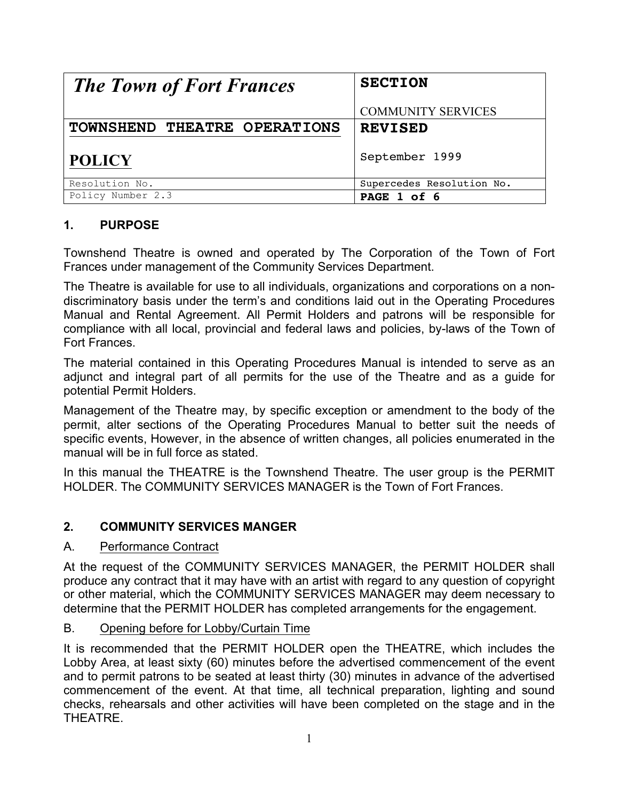| <b>The Town of Fort Frances</b> | <b>SECTION</b>            |
|---------------------------------|---------------------------|
|                                 | <b>COMMUNITY SERVICES</b> |
| TOWNSHEND THEATRE OPERATIONS    | <b>REVISED</b>            |
| <b>POLICY</b>                   | September 1999            |
| Resolution No.                  | Supercedes Resolution No. |
| Policy Number 2.3               | PAGE 1 of 6               |

# **1. PURPOSE**

Townshend Theatre is owned and operated by The Corporation of the Town of Fort Frances under management of the Community Services Department.

The Theatre is available for use to all individuals, organizations and corporations on a nondiscriminatory basis under the term's and conditions laid out in the Operating Procedures Manual and Rental Agreement. All Permit Holders and patrons will be responsible for compliance with all local, provincial and federal laws and policies, by-laws of the Town of Fort Frances.

The material contained in this Operating Procedures Manual is intended to serve as an adjunct and integral part of all permits for the use of the Theatre and as a guide for potential Permit Holders.

Management of the Theatre may, by specific exception or amendment to the body of the permit, alter sections of the Operating Procedures Manual to better suit the needs of specific events, However, in the absence of written changes, all policies enumerated in the manual will be in full force as stated.

In this manual the THEATRE is the Townshend Theatre. The user group is the PERMIT HOLDER. The COMMUNITY SERVICES MANAGER is the Town of Fort Frances.

## **2. COMMUNITY SERVICES MANGER**

### A. Performance Contract

At the request of the COMMUNITY SERVICES MANAGER, the PERMIT HOLDER shall produce any contract that it may have with an artist with regard to any question of copyright or other material, which the COMMUNITY SERVICES MANAGER may deem necessary to determine that the PERMIT HOLDER has completed arrangements for the engagement.

## B. Opening before for Lobby/Curtain Time

It is recommended that the PERMIT HOLDER open the THEATRE, which includes the Lobby Area, at least sixty (60) minutes before the advertised commencement of the event and to permit patrons to be seated at least thirty (30) minutes in advance of the advertised commencement of the event. At that time, all technical preparation, lighting and sound checks, rehearsals and other activities will have been completed on the stage and in the **THEATRE**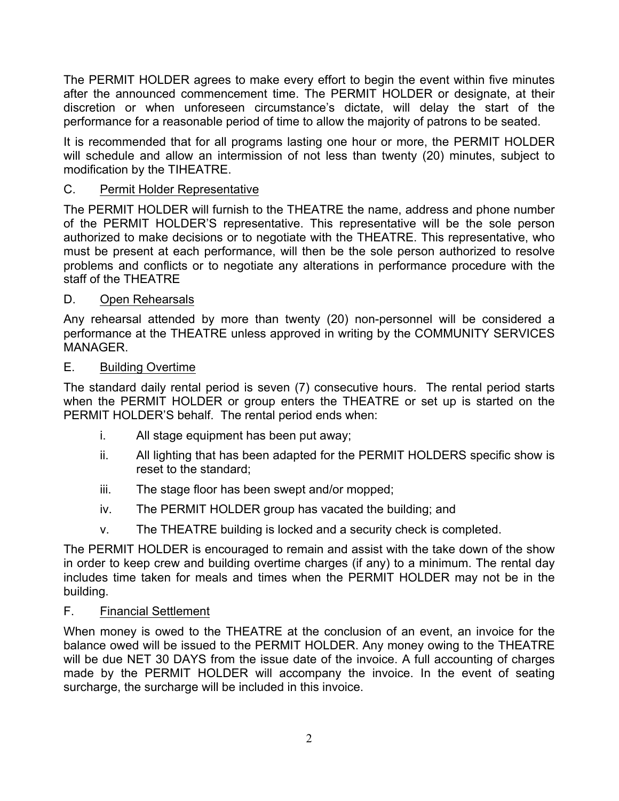The PERMIT HOLDER agrees to make every effort to begin the event within five minutes after the announced commencement time. The PERMIT HOLDER or designate, at their discretion or when unforeseen circumstance's dictate, will delay the start of the performance for a reasonable period of time to allow the majority of patrons to be seated.

It is recommended that for all programs lasting one hour or more, the PERMIT HOLDER will schedule and allow an intermission of not less than twenty (20) minutes, subject to modification by the TIHEATRE.

# C. Permit Holder Representative

The PERMIT HOLDER will furnish to the THEATRE the name, address and phone number of the PERMIT HOLDER'S representative. This representative will be the sole person authorized to make decisions or to negotiate with the THEATRE. This representative, who must be present at each performance, will then be the sole person authorized to resolve problems and conflicts or to negotiate any alterations in performance procedure with the staff of the THEATRE

## D. Open Rehearsals

Any rehearsal attended by more than twenty (20) non-personnel will be considered a performance at the THEATRE unless approved in writing by the COMMUNITY SERVICES MANAGER.

### E. Building Overtime

The standard daily rental period is seven (7) consecutive hours. The rental period starts when the PERMIT HOLDER or group enters the THEATRE or set up is started on the PERMIT HOLDER'S behalf. The rental period ends when:

- i. All stage equipment has been put away;
- ii. All lighting that has been adapted for the PERMIT HOLDERS specific show is reset to the standard;
- iii. The stage floor has been swept and/or mopped;
- iv. The PERMIT HOLDER group has vacated the building; and
- v. The THEATRE building is locked and a security check is completed.

The PERMIT HOLDER is encouraged to remain and assist with the take down of the show in order to keep crew and building overtime charges (if any) to a minimum. The rental day includes time taken for meals and times when the PERMIT HOLDER may not be in the building.

## F. Financial Settlement

When money is owed to the THEATRE at the conclusion of an event, an invoice for the balance owed will be issued to the PERMIT HOLDER. Any money owing to the THEATRE will be due NET 30 DAYS from the issue date of the invoice. A full accounting of charges made by the PERMIT HOLDER will accompany the invoice. In the event of seating surcharge, the surcharge will be included in this invoice.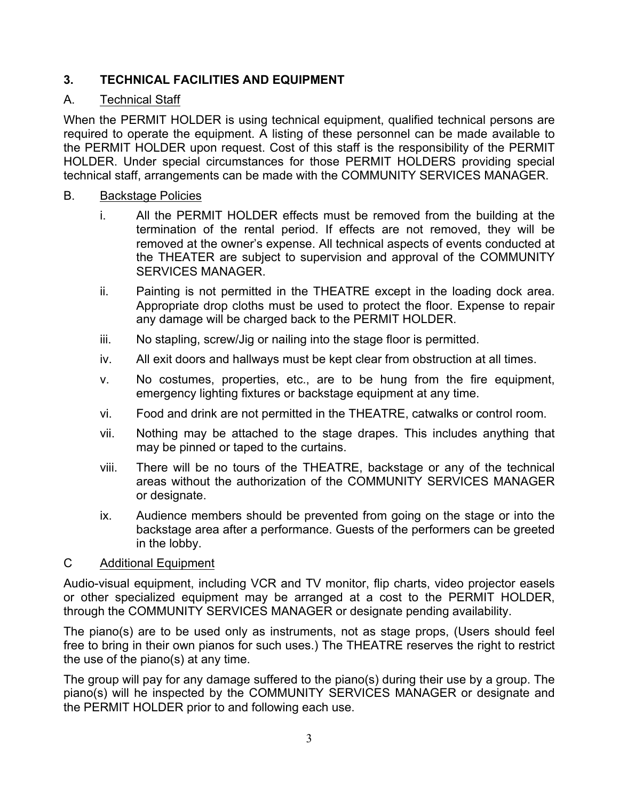# **3. TECHNICAL FACILITIES AND EQUIPMENT**

# A. Technical Staff

When the PERMIT HOLDER is using technical equipment, qualified technical persons are required to operate the equipment. A listing of these personnel can be made available to the PERMIT HOLDER upon request. Cost of this staff is the responsibility of the PERMIT HOLDER. Under special circumstances for those PERMIT HOLDERS providing special technical staff, arrangements can be made with the COMMUNITY SERVICES MANAGER.

### B. Backstage Policies

- i. All the PERMIT HOLDER effects must be removed from the building at the termination of the rental period. If effects are not removed, they will be removed at the owner's expense. All technical aspects of events conducted at the THEATER are subject to supervision and approval of the COMMUNITY SERVICES MANAGER.
- ii. Painting is not permitted in the THEATRE except in the loading dock area. Appropriate drop cloths must be used to protect the floor. Expense to repair any damage will be charged back to the PERMIT HOLDER.
- iii. No stapling, screw/Jig or nailing into the stage floor is permitted.
- iv. All exit doors and hallways must be kept clear from obstruction at all times.
- v. No costumes, properties, etc., are to be hung from the fire equipment, emergency lighting fixtures or backstage equipment at any time.
- vi. Food and drink are not permitted in the THEATRE, catwalks or control room.
- vii. Nothing may be attached to the stage drapes. This includes anything that may be pinned or taped to the curtains.
- viii. There will be no tours of the THEATRE, backstage or any of the technical areas without the authorization of the COMMUNITY SERVICES MANAGER or designate.
- ix. Audience members should be prevented from going on the stage or into the backstage area after a performance. Guests of the performers can be greeted in the lobby.

### C Additional Equipment

Audio-visual equipment, including VCR and TV monitor, flip charts, video projector easels or other specialized equipment may be arranged at a cost to the PERMIT HOLDER, through the COMMUNITY SERVICES MANAGER or designate pending availability.

The piano(s) are to be used only as instruments, not as stage props, (Users should feel free to bring in their own pianos for such uses.) The THEATRE reserves the right to restrict the use of the piano(s) at any time.

The group will pay for any damage suffered to the piano(s) during their use by a group. The piano(s) will he inspected by the COMMUNITY SERVICES MANAGER or designate and the PERMIT HOLDER prior to and following each use.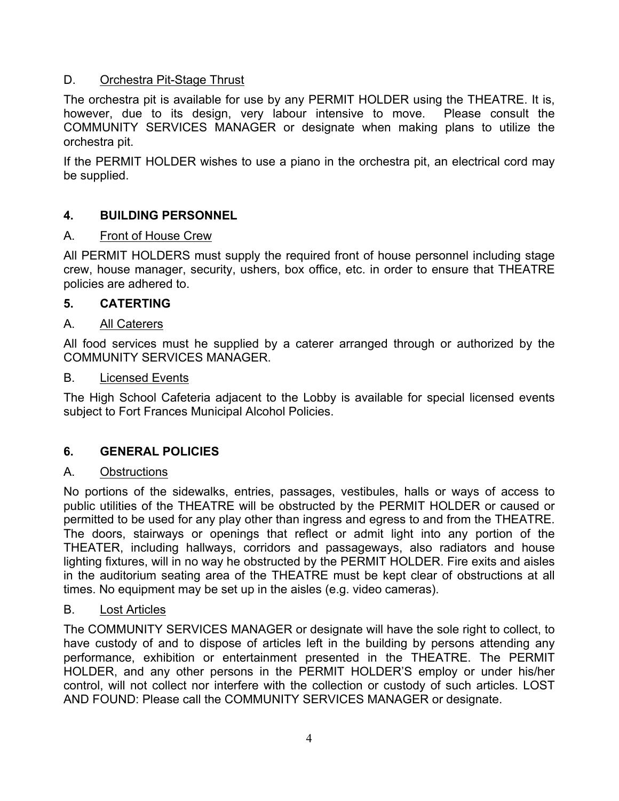## D. Orchestra Pit-Stage Thrust

The orchestra pit is available for use by any PERMIT HOLDER using the THEATRE. It is, however, due to its design, very labour intensive to move. Please consult the COMMUNITY SERVICES MANAGER or designate when making plans to utilize the orchestra pit.

If the PERMIT HOLDER wishes to use a piano in the orchestra pit, an electrical cord may be supplied.

## **4. BUILDING PERSONNEL**

### A. Front of House Crew

All PERMIT HOLDERS must supply the required front of house personnel including stage crew, house manager, security, ushers, box office, etc. in order to ensure that THEATRE policies are adhered to.

### **5. CATERTING**

### A. All Caterers

All food services must he supplied by a caterer arranged through or authorized by the COMMUNITY SERVICES MANAGER.

#### B. Licensed Events

The High School Cafeteria adjacent to the Lobby is available for special licensed events subject to Fort Frances Municipal Alcohol Policies.

### **6. GENERAL POLICIES**

### A. Obstructions

No portions of the sidewalks, entries, passages, vestibules, halls or ways of access to public utilities of the THEATRE will be obstructed by the PERMIT HOLDER or caused or permitted to be used for any play other than ingress and egress to and from the THEATRE. The doors, stairways or openings that reflect or admit light into any portion of the THEATER, including hallways, corridors and passageways, also radiators and house lighting fixtures, will in no way he obstructed by the PERMIT HOLDER. Fire exits and aisles in the auditorium seating area of the THEATRE must be kept clear of obstructions at all times. No equipment may be set up in the aisles (e.g. video cameras).

### B. Lost Articles

The COMMUNITY SERVICES MANAGER or designate will have the sole right to collect, to have custody of and to dispose of articles left in the building by persons attending any performance, exhibition or entertainment presented in the THEATRE. The PERMIT HOLDER, and any other persons in the PERMIT HOLDER'S employ or under his/her control, will not collect nor interfere with the collection or custody of such articles. LOST AND FOUND: Please call the COMMUNITY SERVICES MANAGER or designate.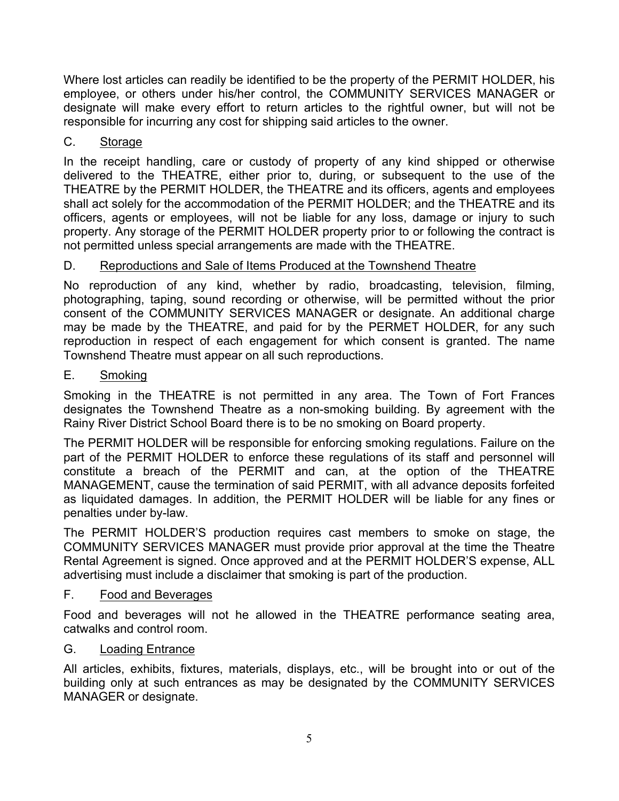Where lost articles can readily be identified to be the property of the PERMIT HOLDER, his employee, or others under his/her control, the COMMUNITY SERVICES MANAGER or designate will make every effort to return articles to the rightful owner, but will not be responsible for incurring any cost for shipping said articles to the owner.

# C. Storage

In the receipt handling, care or custody of property of any kind shipped or otherwise delivered to the THEATRE, either prior to, during, or subsequent to the use of the THEATRE by the PERMIT HOLDER, the THEATRE and its officers, agents and employees shall act solely for the accommodation of the PERMIT HOLDER; and the THEATRE and its officers, agents or employees, will not be liable for any loss, damage or injury to such property. Any storage of the PERMIT HOLDER property prior to or following the contract is not permitted unless special arrangements are made with the THEATRE.

## D. Reproductions and Sale of Items Produced at the Townshend Theatre

No reproduction of any kind, whether by radio, broadcasting, television, filming, photographing, taping, sound recording or otherwise, will be permitted without the prior consent of the COMMUNITY SERVICES MANAGER or designate. An additional charge may be made by the THEATRE, and paid for by the PERMET HOLDER, for any such reproduction in respect of each engagement for which consent is granted. The name Townshend Theatre must appear on all such reproductions.

## E. Smoking

Smoking in the THEATRE is not permitted in any area. The Town of Fort Frances designates the Townshend Theatre as a non-smoking building. By agreement with the Rainy River District School Board there is to be no smoking on Board property.

The PERMIT HOLDER will be responsible for enforcing smoking regulations. Failure on the part of the PERMIT HOLDER to enforce these regulations of its staff and personnel will constitute a breach of the PERMIT and can, at the option of the THEATRE MANAGEMENT, cause the termination of said PERMIT, with all advance deposits forfeited as liquidated damages. In addition, the PERMIT HOLDER will be liable for any fines or penalties under by-law.

The PERMIT HOLDER'S production requires cast members to smoke on stage, the COMMUNITY SERVICES MANAGER must provide prior approval at the time the Theatre Rental Agreement is signed. Once approved and at the PERMIT HOLDER'S expense, ALL advertising must include a disclaimer that smoking is part of the production.

## F. Food and Beverages

Food and beverages will not he allowed in the THEATRE performance seating area, catwalks and control room.

## G. Loading Entrance

All articles, exhibits, fixtures, materials, displays, etc., will be brought into or out of the building only at such entrances as may be designated by the COMMUNITY SERVICES MANAGER or designate.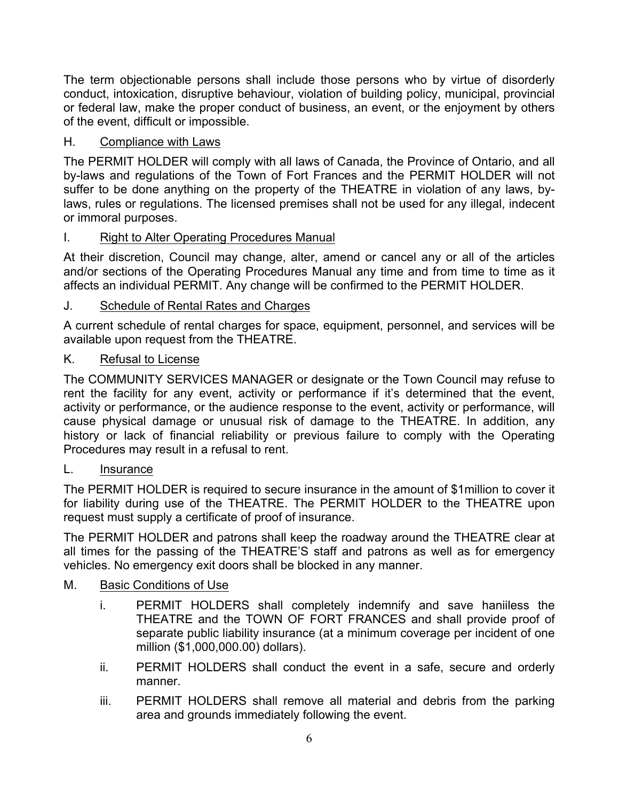The term objectionable persons shall include those persons who by virtue of disorderly conduct, intoxication, disruptive behaviour, violation of building policy, municipal, provincial or federal law, make the proper conduct of business, an event, or the enjoyment by others of the event, difficult or impossible.

# H. Compliance with Laws

The PERMIT HOLDER will comply with all laws of Canada, the Province of Ontario, and all by-laws and regulations of the Town of Fort Frances and the PERMIT HOLDER will not suffer to be done anything on the property of the THEATRE in violation of any laws, bylaws, rules or regulations. The licensed premises shall not be used for any illegal, indecent or immoral purposes.

# I. Right to Alter Operating Procedures Manual

At their discretion, Council may change, alter, amend or cancel any or all of the articles and/or sections of the Operating Procedures Manual any time and from time to time as it affects an individual PERMIT. Any change will be confirmed to the PERMIT HOLDER.

# J. Schedule of Rental Rates and Charges

A current schedule of rental charges for space, equipment, personnel, and services will be available upon request from the THEATRE.

# K. Refusal to License

The COMMUNITY SERVICES MANAGER or designate or the Town Council may refuse to rent the facility for any event, activity or performance if it's determined that the event, activity or performance, or the audience response to the event, activity or performance, will cause physical damage or unusual risk of damage to the THEATRE. In addition, any history or lack of financial reliability or previous failure to comply with the Operating Procedures may result in a refusal to rent.

# L. Insurance

The PERMIT HOLDER is required to secure insurance in the amount of \$1million to cover it for liability during use of the THEATRE. The PERMIT HOLDER to the THEATRE upon request must supply a certificate of proof of insurance.

The PERMIT HOLDER and patrons shall keep the roadway around the THEATRE clear at all times for the passing of the THEATRE'S staff and patrons as well as for emergency vehicles. No emergency exit doors shall be blocked in any manner.

# M. Basic Conditions of Use

- i. PERMIT HOLDERS shall completely indemnify and save haniiless the THEATRE and the TOWN OF FORT FRANCES and shall provide proof of separate public liability insurance (at a minimum coverage per incident of one million (\$1,000,000.00) dollars).
- ii. PERMIT HOLDERS shall conduct the event in a safe, secure and orderly manner.
- iii. PERMIT HOLDERS shall remove all material and debris from the parking area and grounds immediately following the event.